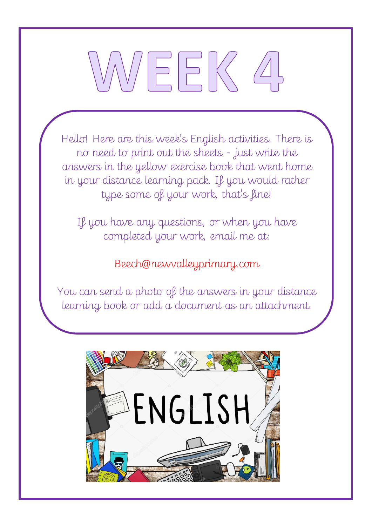# $\vdash$  K

Hello! Here are this week's English activities. There is no need to print out the sheets - just write the answers in the yellow exercise book that went home in your distance learning pack. If you would rather type some of your work, that's fine!

If you have any questions, or when you have completed your work, email me at:

Beech@newvalleyprimary.com

You can send a photo of the answers in your distance learning book or add a document as an attachment.

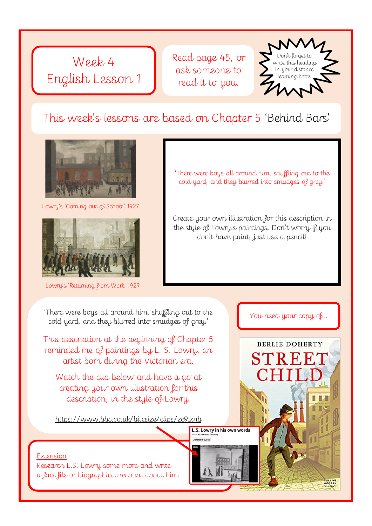

Read page 45, or ask someone to read it to you.



#### This week's lessons are based on Chapter 5 'Behind Bars'



Lowry's 'Coming out of School' 1927



Lowry's 'Returning from Work' 1929

'There were boys all around him, shuffling out to the cold yard, and they blurred into smudges of grey.'

Create your own illustration for this description in the style of Lowry's paintings. Don't worry if you don't have paint, just use a pencil!

You need your copy of…

**BERLIE DOHERTY** 

**STREE** 

'There were boys all around him, shuffling out to the cold yard, and they blurred into smudges of grey.'

This description at the beginning of Chapter 5 reminded me of paintings by L. S. Lowry, an artist born during the Victorian era.

Watch the clip below and have a go at creating your own illustration for this description, in the style of Lowry.

https://www.bbc.co.uk/bitesize/clips/zc9jxnb

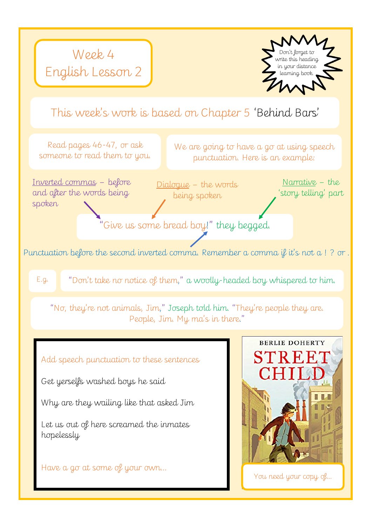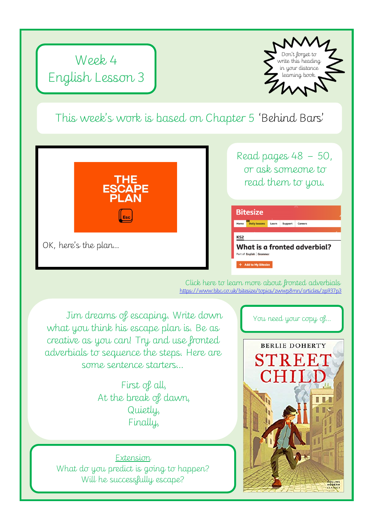

#### This week's work is based on Chapter 5 'Behind Bars'



OK, here's the plan…

Read pages 48 – 50, or ask someone to read them to you.

|                 | <b>Bitesize</b>         |       |                | بمالي                        |
|-----------------|-------------------------|-------|----------------|------------------------------|
| Home            | <b>Daily lessons</b>    | Learn | <b>Support</b> | Careers                      |
| KS <sub>2</sub> |                         |       |                |                              |
|                 |                         |       |                | What is a fronted adverbial? |
|                 | Part of English Grammar |       |                |                              |

Click here to learn more about fronted adverbials https://www.bbc.co.uk/bitesize/topics/zwwp8mn/articles/zp937p3

Jim dreams of escaping. Write down what you think his escape plan is. Be as creative as you can! Try and use fronted adverbials to sequence the steps. Here are some sentence starters…

> First of all, At the break of dawn, Quietly, Finally,

**Extension** What do you predict is going to happen? Will he successfully escape?

You need your copy of…